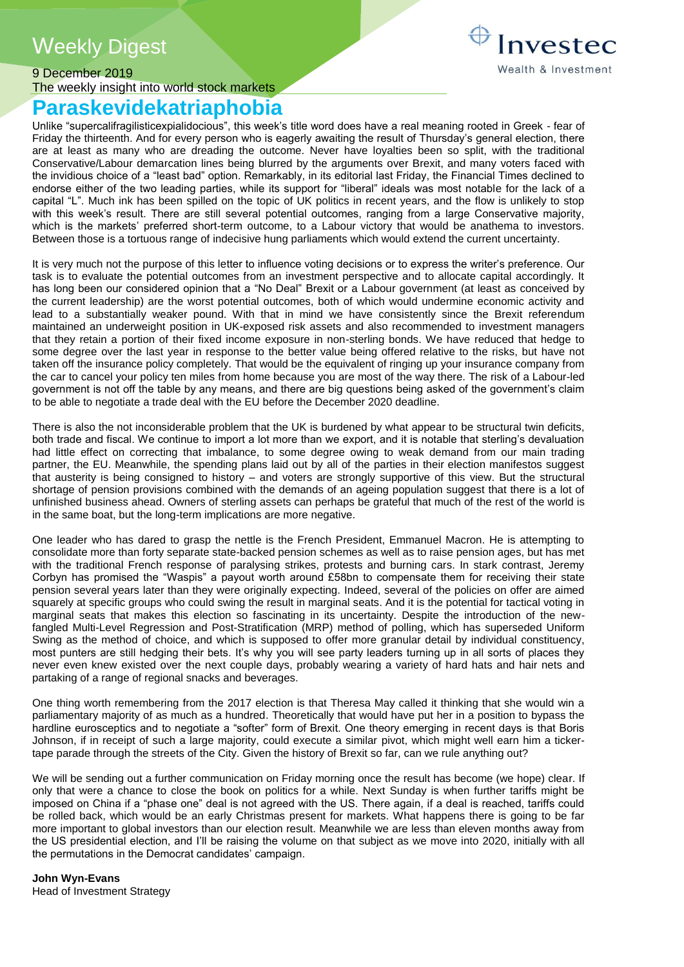# Weekly Digest

## 9 December 2019 The weekly insight into world stock markets

## **Paraskevidekatriaphobia**

Unlike "supercalifragilisticexpialidocious", this week's title word does have a real meaning rooted in Greek - fear of Friday the thirteenth. And for every person who is eagerly awaiting the result of Thursday's general election, there are at least as many who are dreading the outcome. Never have loyalties been so split, with the traditional Conservative/Labour demarcation lines being blurred by the arguments over Brexit, and many voters faced with the invidious choice of a "least bad" option. Remarkably, in its editorial last Friday, the Financial Times declined to endorse either of the two leading parties, while its support for "liberal" ideals was most notable for the lack of a capital "L". Much ink has been spilled on the topic of UK politics in recent years, and the flow is unlikely to stop with this week's result. There are still several potential outcomes, ranging from a large Conservative majority, which is the markets' preferred short-term outcome, to a Labour victory that would be anathema to investors. Between those is a tortuous range of indecisive hung parliaments which would extend the current uncertainty.

It is very much not the purpose of this letter to influence voting decisions or to express the writer's preference. Our task is to evaluate the potential outcomes from an investment perspective and to allocate capital accordingly. It has long been our considered opinion that a "No Deal" Brexit or a Labour government (at least as conceived by the current leadership) are the worst potential outcomes, both of which would undermine economic activity and lead to a substantially weaker pound. With that in mind we have consistently since the Brexit referendum maintained an underweight position in UK-exposed risk assets and also recommended to investment managers that they retain a portion of their fixed income exposure in non-sterling bonds. We have reduced that hedge to some degree over the last year in response to the better value being offered relative to the risks, but have not taken off the insurance policy completely. That would be the equivalent of ringing up your insurance company from the car to cancel your policy ten miles from home because you are most of the way there. The risk of a Labour-led government is not off the table by any means, and there are big questions being asked of the government's claim to be able to negotiate a trade deal with the EU before the December 2020 deadline.

There is also the not inconsiderable problem that the UK is burdened by what appear to be structural twin deficits, both trade and fiscal. We continue to import a lot more than we export, and it is notable that sterling's devaluation had little effect on correcting that imbalance, to some degree owing to weak demand from our main trading partner, the EU. Meanwhile, the spending plans laid out by all of the parties in their election manifestos suggest that austerity is being consigned to history – and voters are strongly supportive of this view. But the structural shortage of pension provisions combined with the demands of an ageing population suggest that there is a lot of unfinished business ahead. Owners of sterling assets can perhaps be grateful that much of the rest of the world is in the same boat, but the long-term implications are more negative.

One leader who has dared to grasp the nettle is the French President, Emmanuel Macron. He is attempting to consolidate more than forty separate state-backed pension schemes as well as to raise pension ages, but has met with the traditional French response of paralysing strikes, protests and burning cars. In stark contrast, Jeremy Corbyn has promised the "Waspis" a payout worth around £58bn to compensate them for receiving their state pension several years later than they were originally expecting. Indeed, several of the policies on offer are aimed squarely at specific groups who could swing the result in marginal seats. And it is the potential for tactical voting in marginal seats that makes this election so fascinating in its uncertainty. Despite the introduction of the newfangled Multi-Level Regression and Post-Stratification (MRP) method of polling, which has superseded Uniform Swing as the method of choice, and which is supposed to offer more granular detail by individual constituency, most punters are still hedging their bets. It's why you will see party leaders turning up in all sorts of places they never even knew existed over the next couple days, probably wearing a variety of hard hats and hair nets and partaking of a range of regional snacks and beverages.

One thing worth remembering from the 2017 election is that Theresa May called it thinking that she would win a parliamentary majority of as much as a hundred. Theoretically that would have put her in a position to bypass the hardline eurosceptics and to negotiate a "softer" form of Brexit. One theory emerging in recent days is that Boris Johnson, if in receipt of such a large majority, could execute a similar pivot, which might well earn him a tickertape parade through the streets of the City. Given the history of Brexit so far, can we rule anything out?

We will be sending out a further communication on Friday morning once the result has become (we hope) clear. If only that were a chance to close the book on politics for a while. Next Sunday is when further tariffs might be imposed on China if a "phase one" deal is not agreed with the US. There again, if a deal is reached, tariffs could be rolled back, which would be an early Christmas present for markets. What happens there is going to be far more important to global investors than our election result. Meanwhile we are less than eleven months away from the US presidential election, and I'll be raising the volume on that subject as we move into 2020, initially with all the permutations in the Democrat candidates' campaign.

**John Wyn-Evans** Head of Investment Strategy